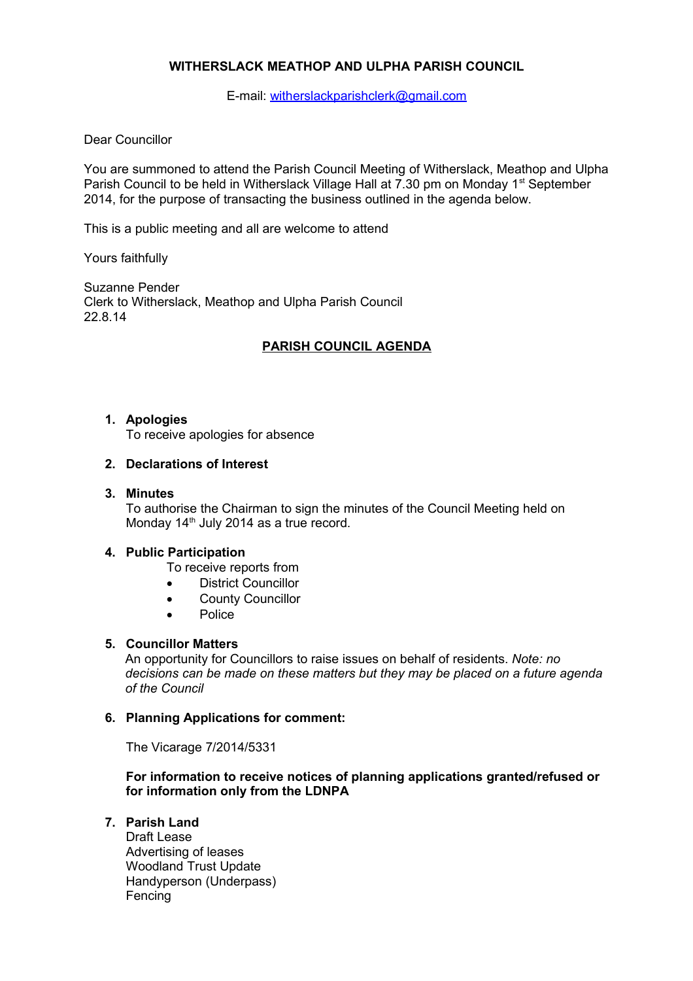# **WITHERSLACK MEATHOP AND ULPHA PARISH COUNCIL**

E-mail: [witherslackparishclerk@gmail.com](mailto:witherslackparishclerk@gmail.com)

### Dear Councillor

You are summoned to attend the Parish Council Meeting of Witherslack, Meathop and Ulpha Parish Council to be held in Witherslack Village Hall at 7.30 pm on Monday 1<sup>st</sup> September 2014, for the purpose of transacting the business outlined in the agenda below.

This is a public meeting and all are welcome to attend

Yours faithfully

Suzanne Pender Clerk to Witherslack, Meathop and Ulpha Parish Council 22.8.14

# **PARISH COUNCIL AGENDA**

#### **1. Apologies**

To receive apologies for absence

#### **2. Declarations of Interest**

#### **3. Minutes**

To authorise the Chairman to sign the minutes of the Council Meeting held on Monday 14<sup>th</sup> July 2014 as a true record.

## **4. Public Participation**

- To receive reports from
- **•** District Councillor
- County Councillor
- Police

# **5. Councillor Matters**

An opportunity for Councillors to raise issues on behalf of residents. *Note: no decisions can be made on these matters but they may be placed on a future agenda of the Council*

## **6. Planning Applications for comment:**

The Vicarage 7/2014/5331

**For information to receive notices of planning applications granted/refused or for information only from the LDNPA**

# **7. Parish Land**

Draft Lease Advertising of leases Woodland Trust Update Handyperson (Underpass) Fencing